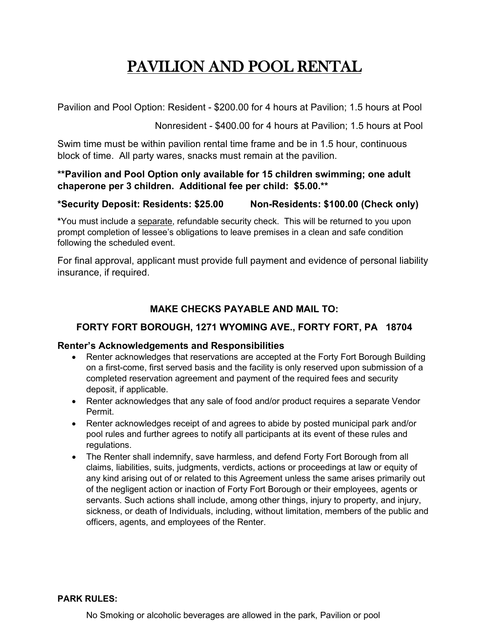# PAVILION AND POOL RENTAL

Pavilion and Pool Option: Resident - \$200.00 for 4 hours at Pavilion; 1.5 hours at Pool

Nonresident - \$400.00 for 4 hours at Pavilion; 1.5 hours at Pool

Swim time must be within pavilion rental time frame and be in 1.5 hour, continuous block of time. All party wares, snacks must remain at the pavilion.

## **\*\*Pavilion and Pool Option only available for 15 children swimming; one adult chaperone per 3 children. Additional fee per child: \$5.00.\*\***

### **\*Security Deposit: Residents: \$25.00 Non-Residents: \$100.00 (Check only)**

**\***You must include a separate, refundable security check. This will be returned to you upon prompt completion of lessee's obligations to leave premises in a clean and safe condition following the scheduled event.

For final approval, applicant must provide full payment and evidence of personal liability insurance, if required.

# **MAKE CHECKS PAYABLE AND MAIL TO:**

# **FORTY FORT BOROUGH, 1271 WYOMING AVE., FORTY FORT, PA 18704**

#### **Renter's Acknowledgements and Responsibilities**

- Renter acknowledges that reservations are accepted at the Forty Fort Borough Building on a first-come, first served basis and the facility is only reserved upon submission of a completed reservation agreement and payment of the required fees and security deposit, if applicable.
- Renter acknowledges that any sale of food and/or product requires a separate Vendor Permit.
- Renter acknowledges receipt of and agrees to abide by posted municipal park and/or pool rules and further agrees to notify all participants at its event of these rules and regulations.
- The Renter shall indemnify, save harmless, and defend Forty Fort Borough from all claims, liabilities, suits, judgments, verdicts, actions or proceedings at law or equity of any kind arising out of or related to this Agreement unless the same arises primarily out of the negligent action or inaction of Forty Fort Borough or their employees, agents or servants. Such actions shall include, among other things, injury to property, and injury, sickness, or death of Individuals, including, without limitation, members of the public and officers, agents, and employees of the Renter.

#### **PARK RULES:**

No Smoking or alcoholic beverages are allowed in the park, Pavilion or pool